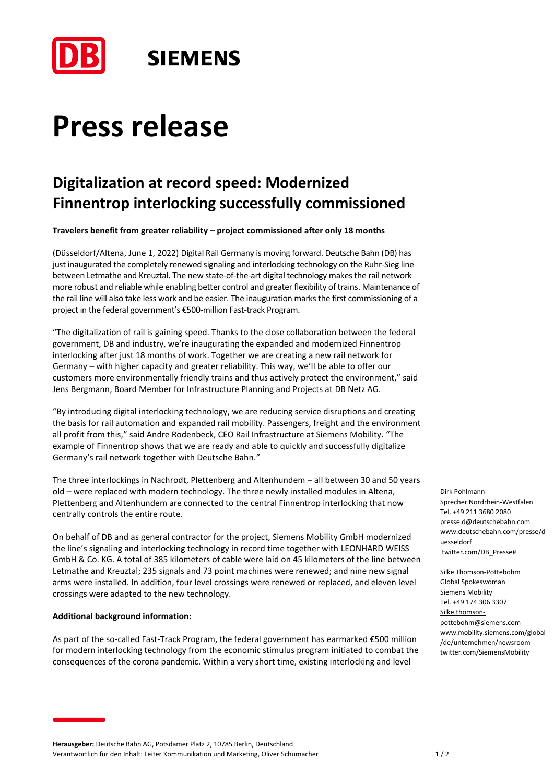

### **SIEMENS**

# **Press release**

### **Digitalization at record speed: Modernized Finnentrop interlocking successfully commissioned**

**Travelers benefit from greater reliability – project commissioned after only 18 months**

(Düsseldorf/Altena, June 1, 2022) Digital Rail Germany is moving forward. Deutsche Bahn (DB) has just inaugurated the completely renewed signaling and interlocking technology on the Ruhr-Sieg line between Letmathe and Kreuztal. The new state-of-the-art digital technology makes the rail network more robust and reliable while enabling better control and greater flexibility of trains. Maintenance of the rail line will also take less work and be easier. The inauguration marks the first commissioning of a project in the federal government's €500-million Fast-track Program.

"The digitalization of rail is gaining speed. Thanks to the close collaboration between the federal government, DB and industry, we're inaugurating the expanded and modernized Finnentrop interlocking after just 18 months of work. Together we are creating a new rail network for Germany – with higher capacity and greater reliability. This way, we'll be able to offer our customers more environmentally friendly trains and thus actively protect the environment," said Jens Bergmann, Board Member for Infrastructure Planning and Projects at DB Netz AG.

"By introducing digital interlocking technology, we are reducing service disruptions and creating the basis for rail automation and expanded rail mobility. Passengers, freight and the environment all profit from this," said Andre Rodenbeck, CEO Rail Infrastructure at Siemens Mobility. "The example of Finnentrop shows that we are ready and able to quickly and successfully digitalize Germany's rail network together with Deutsche Bahn."

The three interlockings in Nachrodt, Plettenberg and Altenhundem – all between 30 and 50 years old – were replaced with modern technology. The three newly installed modules in Altena, Plettenberg and Altenhundem are connected to the central Finnentrop interlocking that now centrally controls the entire route.

On behalf of DB and as general contractor for the project, Siemens Mobility GmbH modernized the line's signaling and interlocking technology in record time together with LEONHARD WEISS GmbH & Co. KG. A total of 385 kilometers of cable were laid on 45 kilometers of the line between Letmathe and Kreuztal; 235 signals and 73 point machines were renewed; and nine new signal arms were installed. In addition, four level crossings were renewed or replaced, and eleven level crossings were adapted to the new technology.

#### **Additional background information:**

As part of the so-called Fast-Track Program, the federal government has earmarked €500 million for modern interlocking technology from the economic stimulus program initiated to combat the consequences of the corona pandemic. Within a very short time, existing interlocking and level

Dirk Pohlmann Sprecher Nordrhein-Westfalen Tel. +49 211 3680 2080 presse.d@deutschebahn.com www.deutschebahn.com/presse/d uesseldorf twitter.com/DB\_Presse#

Silke Thomson-Pottebohm Global Spokeswoman Siemens Mobility Tel. +49 174 306 3307 [Silke.thomson](mailto:Silke.thomson-pottebohm@siemens.com)[pottebohm@siemens.com](mailto:Silke.thomson-pottebohm@siemens.com) www.mobility.siemens.com/global /de/unternehmen/newsroom twitter.com/SiemensMobility

**Herausgeber:** Deutsche Bahn AG, Potsdamer Platz 2, 10785 Berlin, Deutschland Verantwortlich für den Inhalt: Leiter Kommunikation und Marketing, Oliver Schumacher 1 / 2